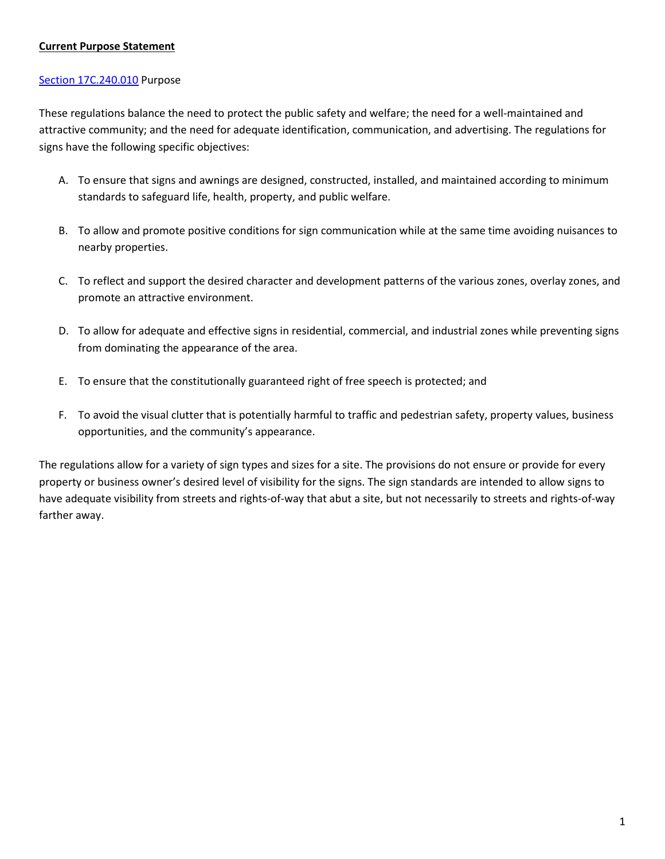# **Current Purpose Statement**

### [Section 17C.240.010](https://my.spokanecity.org/smc/?Section=17C.240.010) Purpose

These regulations balance the need to protect the public safety and welfare; the need for a well-maintained and attractive community; and the need for adequate identification, communication, and advertising. The regulations for signs have the following specific objectives:

- A. To ensure that signs and awnings are designed, constructed, installed, and maintained according to minimum standards to safeguard life, health, property, and public welfare.
- B. To allow and promote positive conditions for sign communication while at the same time avoiding nuisances to nearby properties.
- C. To reflect and support the desired character and development patterns of the various zones, overlay zones, and promote an attractive environment.
- D. To allow for adequate and effective signs in residential, commercial, and industrial zones while preventing signs from dominating the appearance of the area.
- E. To ensure that the constitutionally guaranteed right of free speech is protected; and
- F. To avoid the visual clutter that is potentially harmful to traffic and pedestrian safety, property values, business opportunities, and the community's appearance.

The regulations allow for a variety of sign types and sizes for a site. The provisions do not ensure or provide for every property or business owner's desired level of visibility for the signs. The sign standards are intended to allow signs to have adequate visibility from streets and rights-of-way that abut a site, but not necessarily to streets and rights-of-way farther away.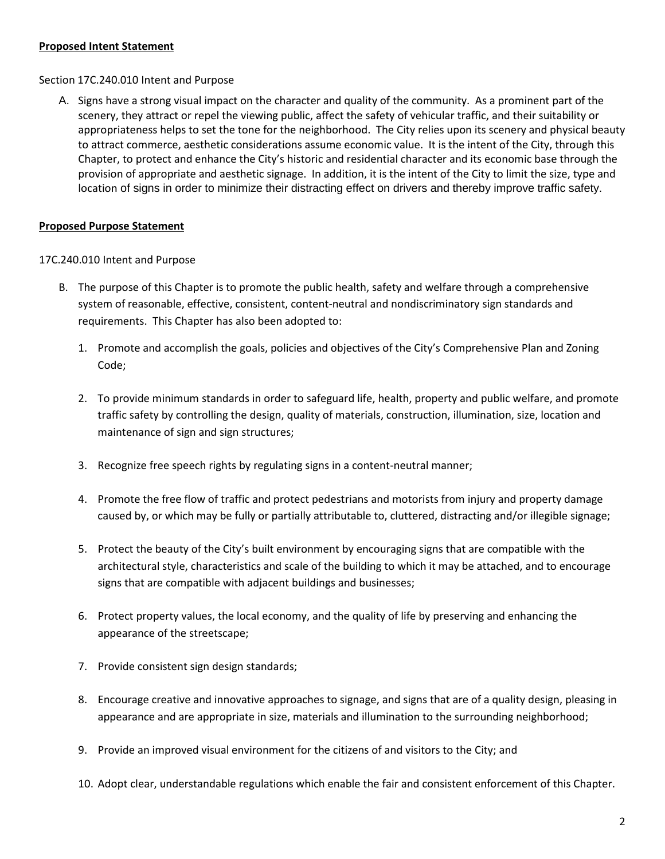### **Proposed Intent Statement**

### [Section 17C.240.010](https://my.spokanecity.org/smc/?Section=17C.240.010) Intent and Purpose

A. Signs have a strong visual impact on the character and quality of the community. As a prominent part of the scenery, they attract or repel the viewing public, affect the safety of vehicular traffic, and their suitability or appropriateness helps to set the tone for the neighborhood. The City relies upon its scenery and physical beauty to attract commerce, aesthetic considerations assume economic value. It is the intent of the City, through this Chapter, to protect and enhance the City's historic and residential character and its economic base through the provision of appropriate and aesthetic signage. In addition, it is the intent of the City to limit the size, type and location of signs in order to minimize their distracting effect on drivers and thereby improve traffic safety.

# **Proposed Purpose Statement**

### 17C.240.010 Intent and Purpose

- B. The purpose of this Chapter is to promote the public health, safety and welfare through a comprehensive system of reasonable, effective, consistent, content-neutral and nondiscriminatory sign standards and requirements. This Chapter has also been adopted to:
	- 1. Promote and accomplish the goals, policies and objectives of the City's Comprehensive Plan and Zoning Code;
	- 2. To provide minimum standards in order to safeguard life, health, property and public welfare, and promote traffic safety by controlling the design, quality of materials, construction, illumination, size, location and maintenance of sign and sign structures;
	- 3. Recognize free speech rights by regulating signs in a content-neutral manner;
	- 4. Promote the free flow of traffic and protect pedestrians and motorists from injury and property damage caused by, or which may be fully or partially attributable to, cluttered, distracting and/or illegible signage;
	- 5. Protect the beauty of the City's built environment by encouraging signs that are compatible with the architectural style, characteristics and scale of the building to which it may be attached, and to encourage signs that are compatible with adjacent buildings and businesses;
	- 6. Protect property values, the local economy, and the quality of life by preserving and enhancing the appearance of the streetscape;
	- 7. Provide consistent sign design standards;
	- 8. Encourage creative and innovative approaches to signage, and signs that are of a quality design, pleasing in appearance and are appropriate in size, materials and illumination to the surrounding neighborhood;
	- 9. Provide an improved visual environment for the citizens of and visitors to the City; and
	- 10. Adopt clear, understandable regulations which enable the fair and consistent enforcement of this Chapter.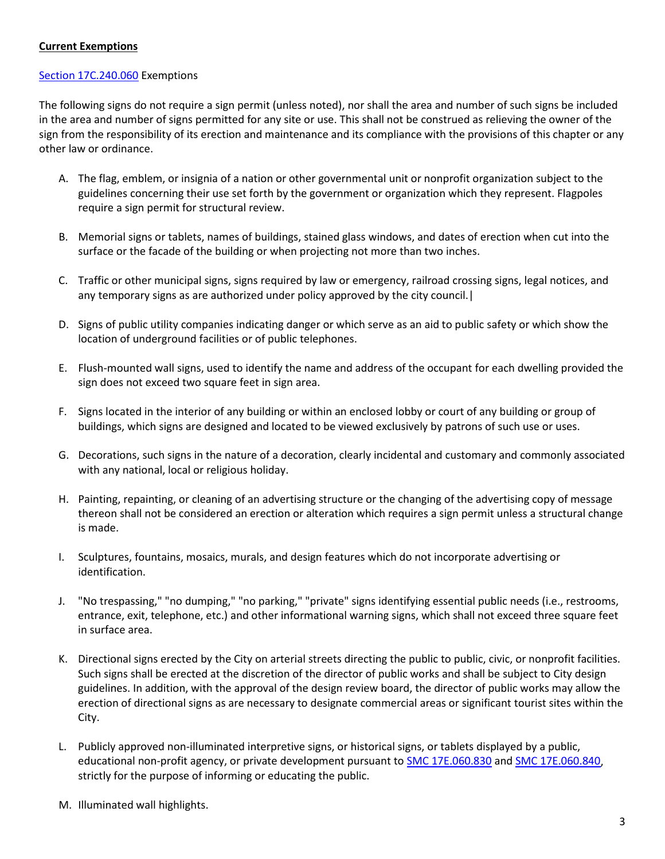### **Current Exemptions**

#### [Section 17C.240.060](https://my.spokanecity.org/smc/?Section=17C.240.060) Exemptions

The following signs do not require a sign permit (unless noted), nor shall the area and number of such signs be included in the area and number of signs permitted for any site or use. This shall not be construed as relieving the owner of the sign from the responsibility of its erection and maintenance and its compliance with the provisions of this chapter or any other law or ordinance.

- A. The flag, emblem, or insignia of a nation or other governmental unit or nonprofit organization subject to the guidelines concerning their use set forth by the government or organization which they represent. Flagpoles require a sign permit for structural review.
- B. Memorial signs or tablets, names of buildings, stained glass windows, and dates of erection when cut into the surface or the facade of the building or when projecting not more than two inches.
- C. Traffic or other municipal signs, signs required by law or emergency, railroad crossing signs, legal notices, and any temporary signs as are authorized under policy approved by the city council.|
- D. Signs of public utility companies indicating danger or which serve as an aid to public safety or which show the location of underground facilities or of public telephones.
- E. Flush-mounted wall signs, used to identify the name and address of the occupant for each dwelling provided the sign does not exceed two square feet in sign area.
- F. Signs located in the interior of any building or within an enclosed lobby or court of any building or group of buildings, which signs are designed and located to be viewed exclusively by patrons of such use or uses.
- G. Decorations, such signs in the nature of a decoration, clearly incidental and customary and commonly associated with any national, local or religious holiday.
- H. Painting, repainting, or cleaning of an advertising structure or the changing of the advertising copy of message thereon shall not be considered an erection or alteration which requires a sign permit unless a structural change is made.
- I. Sculptures, fountains, mosaics, murals, and design features which do not incorporate advertising or identification.
- J. "No trespassing," "no dumping," "no parking," "private" signs identifying essential public needs (i.e., restrooms, entrance, exit, telephone, etc.) and other informational warning signs, which shall not exceed three square feet in surface area.
- K. Directional signs erected by the City on arterial streets directing the public to public, civic, or nonprofit facilities. Such signs shall be erected at the discretion of the director of public works and shall be subject to City design guidelines. In addition, with the approval of the design review board, the director of public works may allow the erection of directional signs as are necessary to designate commercial areas or significant tourist sites within the City.
- L. Publicly approved non-illuminated interpretive signs, or historical signs, or tablets displayed by a public, educational non-profit agency, or private development pursuant t[o SMC 17E.060.830](http://www.spokanecity.org/smc/?Section=17E.060.830) an[d SMC 17E.060.840,](http://www.spokanecity.org/smc/?Section=17E.060.840) strictly for the purpose of informing or educating the public.
- M. Illuminated wall highlights.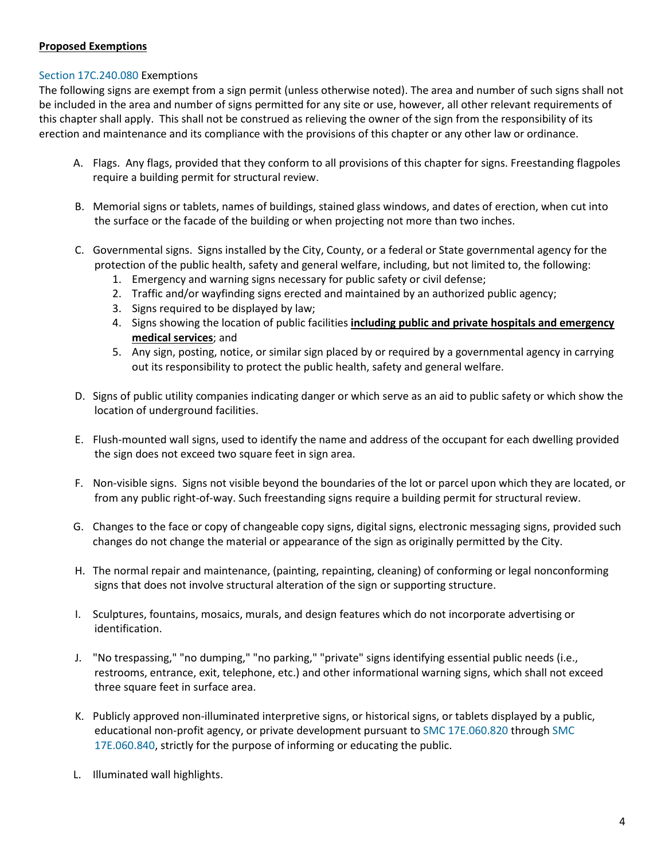# **Proposed Exemptions**

### [Section 17C.240.080](https://my.spokanecity.org/smc/?Section=17C.240.060) Exemptions

The following signs are exempt from a sign permit (unless otherwise noted). The area and number of such signs shall not be included in the area and number of signs permitted for any site or use, however, all other relevant requirements of this chapter shall apply. This shall not be construed as relieving the owner of the sign from the responsibility of its erection and maintenance and its compliance with the provisions of this chapter or any other law or ordinance.

- A. Flags. Any flags, provided that they conform to all provisions of this chapter for signs. Freestanding flagpoles require a building permit for structural review.
- B. Memorial signs or tablets, names of buildings, stained glass windows, and dates of erection, when cut into the surface or the facade of the building or when projecting not more than two inches.
- C. Governmental signs. Signs installed by the City, County, or a federal or State governmental agency for the protection of the public health, safety and general welfare, including, but not limited to, the following:
	- 1. Emergency and warning signs necessary for public safety or civil defense;
	- 2. Traffic and/or wayfinding signs erected and maintained by an authorized public agency;
	- 3. Signs required to be displayed by law;
	- 4. Signs showing the location of public facilities **including public and private hospitals and emergency medical services**; and
	- 5. Any sign, posting, notice, or similar sign placed by or required by a governmental agency in carrying out its responsibility to protect the public health, safety and general welfare.
- D. Signs of public utility companies indicating danger or which serve as an aid to public safety or which show the location of underground facilities.
- E. Flush-mounted wall signs, used to identify the name and address of the occupant for each dwelling provided the sign does not exceed two square feet in sign area.
- F. Non-visible signs. Signs not visible beyond the boundaries of the lot or parcel upon which they are located, or from any public right-of-way. Such freestanding signs require a building permit for structural review.
- G. Changes to the face or copy of changeable copy signs, digital signs, electronic messaging signs, provided such changes do not change the material or appearance of the sign as originally permitted by the City.
- H. The normal repair and maintenance, (painting, repainting, cleaning) of conforming or legal nonconforming signs that does not involve structural alteration of the sign or supporting structure.
- I. Sculptures, fountains, mosaics, murals, and design features which do not incorporate advertising or identification.
- J. "No trespassing," "no dumping," "no parking," "private" signs identifying essential public needs (i.e., restrooms, entrance, exit, telephone, etc.) and other informational warning signs, which shall not exceed three square feet in surface area.
- K. Publicly approved non-illuminated interpretive signs, or historical signs, or tablets displayed by a public, educational non-profit agency, or private development pursuant t[o SMC 17E.060.820](https://my.spokanecity.org/smc/?Section=17E.060.830) through [SMC](https://my.spokanecity.org/smc/?Section=17E.060.840)  [17E.060.840,](https://my.spokanecity.org/smc/?Section=17E.060.840) strictly for the purpose of informing or educating the public.
- L. Illuminated wall highlights.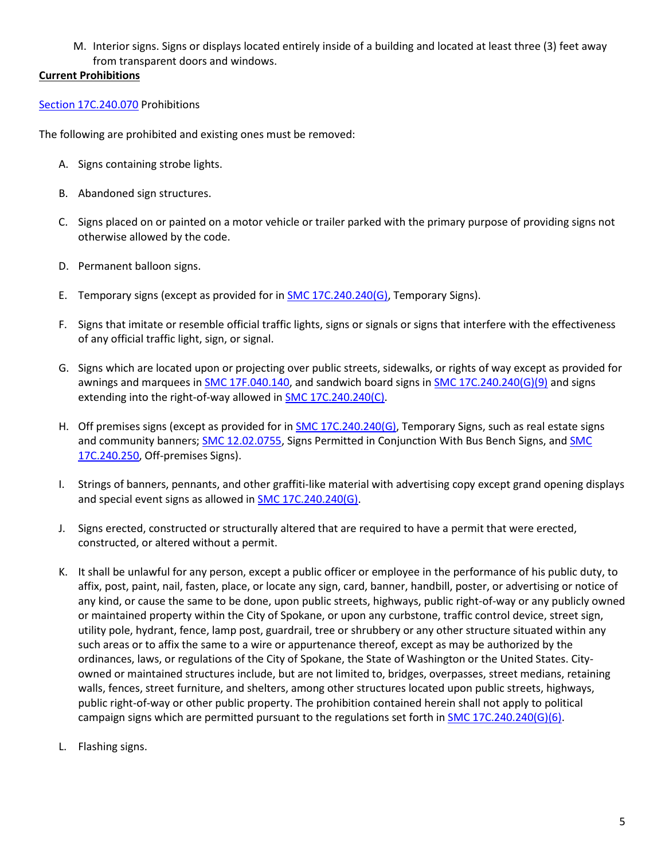M. Interior signs. Signs or displays located entirely inside of a building and located at least three (3) feet away from transparent doors and windows.

# **Current Prohibitions**

# [Section 17C.240.070](https://my.spokanecity.org/smc/?Section=17C.240.070) Prohibitions

The following are prohibited and existing ones must be removed:

- A. Signs containing strobe lights.
- B. Abandoned sign structures.
- C. Signs placed on or painted on a motor vehicle or trailer parked with the primary purpose of providing signs not otherwise allowed by the code.
- D. Permanent balloon signs.
- E. Temporary signs (except as provided for i[n SMC 17C.240.240\(G\),](http://www.spokanecity.org/smc/?Section=17C.240.240) Temporary Signs).
- F. Signs that imitate or resemble official traffic lights, signs or signals or signs that interfere with the effectiveness of any official traffic light, sign, or signal.
- G. Signs which are located upon or projecting over public streets, sidewalks, or rights of way except as provided for awnings and marquees i[n SMC 17F.040.140,](http://www.spokanecity.org/smc/?Section=17F.040.140) and sandwich board signs in [SMC 17C.240.240\(G\)\(9\)](http://www.spokanecity.org/smc/?Section=17C.240.240) and signs extending into the right-of-way allowed in **SMC 17C.240.240(C)**.
- H. Off premises signs (except as provided for i[n SMC 17C.240.240\(G\),](http://www.spokanecity.org/smc/?Section=17C.240.240) Temporary Signs, such as real estate signs and community banners; [SMC 12.02.0755,](http://www.spokanecity.org/smc/?Section=12.02.0755) Signs Permitted in Conjunction With Bus Bench Signs, and SMC [17C.240.250,](http://www.spokanecity.org/smc/?Section=17C.240.250) Off-premises Signs).
- I. Strings of banners, pennants, and other graffiti-like material with advertising copy except grand opening displays and special event signs as allowed in [SMC 17C.240.240\(G\).](http://www.spokanecity.org/smc/?Section=17C.240.240)
- J. Signs erected, constructed or structurally altered that are required to have a permit that were erected, constructed, or altered without a permit.
- K. It shall be unlawful for any person, except a public officer or employee in the performance of his public duty, to affix, post, paint, nail, fasten, place, or locate any sign, card, banner, handbill, poster, or advertising or notice of any kind, or cause the same to be done, upon public streets, highways, public right-of-way or any publicly owned or maintained property within the City of Spokane, or upon any curbstone, traffic control device, street sign, utility pole, hydrant, fence, lamp post, guardrail, tree or shrubbery or any other structure situated within any such areas or to affix the same to a wire or appurtenance thereof, except as may be authorized by the ordinances, laws, or regulations of the City of Spokane, the State of Washington or the United States. Cityowned or maintained structures include, but are not limited to, bridges, overpasses, street medians, retaining walls, fences, street furniture, and shelters, among other structures located upon public streets, highways, public right-of-way or other public property. The prohibition contained herein shall not apply to political campaign signs which are permitted pursuant to the regulations set forth in [SMC 17C.240.240\(G\)\(6\).](http://www.spokanecity.org/smc/?Section=17C.240.240)
- L. Flashing signs.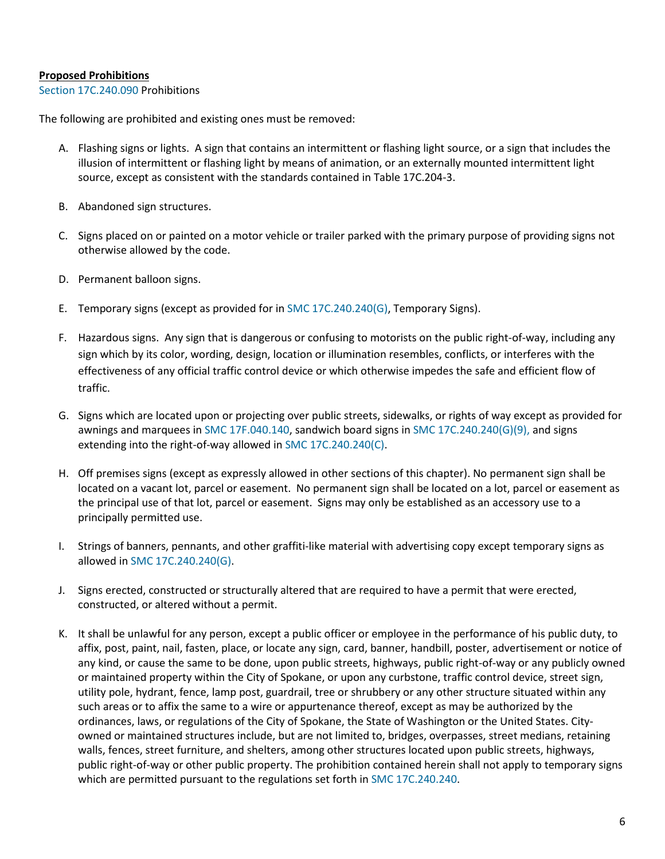#### **Proposed Prohibitions**

#### [Section 17C.240.090](https://my.spokanecity.org/smc/?Section=17C.240.070) Prohibitions

The following are prohibited and existing ones must be removed:

- A. Flashing signs or lights. A sign that contains an intermittent or flashing light source, or a sign that includes the illusion of intermittent or flashing light by means of animation, or an externally mounted intermittent light source, except as consistent with the standards contained in Table 17C.204-3.
- B. Abandoned sign structures.
- C. Signs placed on or painted on a motor vehicle or trailer parked with the primary purpose of providing signs not otherwise allowed by the code.
- D. Permanent balloon signs.
- E. Temporary signs (except as provided for i[n SMC 17C.240.240\(G\),](https://my.spokanecity.org/smc/?Section=17C.240.240) Temporary Signs).
- F. Hazardous signs. Any sign that is dangerous or confusing to motorists on the public right-of-way, including any sign which by its color, wording, design, location or illumination resembles, conflicts, or interferes with the effectiveness of any official traffic control device or which otherwise impedes the safe and efficient flow of traffic.
- G. Signs which are located upon or projecting over public streets, sidewalks, or rights of way except as provided for awnings and marquees i[n SMC 17F.040.140,](https://my.spokanecity.org/smc/?Section=17F.040.140) sandwich board signs i[n SMC 17C.240.240\(G\)\(9\),](https://my.spokanecity.org/smc/?Section=17C.240.240) and signs extending into the right-of-way allowed i[n SMC 17C.240.240\(C\).](https://my.spokanecity.org/smc/?Section=17C.240.240)
- H. Off premises signs (except as expressly allowed in other sections of this chapter). No permanent sign shall be located on a vacant lot, parcel or easement. No permanent sign shall be located on a lot, parcel or easement as the principal use of that lot, parcel or easement. Signs may only be established as an accessory use to a principally permitted use.
- I. Strings of banners, pennants, and other graffiti-like material with advertising copy except temporary signs as allowed i[n SMC 17C.240.240\(G\).](https://my.spokanecity.org/smc/?Section=17C.240.240)
- J. Signs erected, constructed or structurally altered that are required to have a permit that were erected, constructed, or altered without a permit.
- K. It shall be unlawful for any person, except a public officer or employee in the performance of his public duty, to affix, post, paint, nail, fasten, place, or locate any sign, card, banner, handbill, poster, advertisement or notice of any kind, or cause the same to be done, upon public streets, highways, public right-of-way or any publicly owned or maintained property within the City of Spokane, or upon any curbstone, traffic control device, street sign, utility pole, hydrant, fence, lamp post, guardrail, tree or shrubbery or any other structure situated within any such areas or to affix the same to a wire or appurtenance thereof, except as may be authorized by the ordinances, laws, or regulations of the City of Spokane, the State of Washington or the United States. Cityowned or maintained structures include, but are not limited to, bridges, overpasses, street medians, retaining walls, fences, street furniture, and shelters, among other structures located upon public streets, highways, public right-of-way or other public property. The prohibition contained herein shall not apply to temporary signs which are permitted pursuant to the regulations set forth in [SMC 17C.240.240.](https://my.spokanecity.org/smc/?Section=17C.240.240)